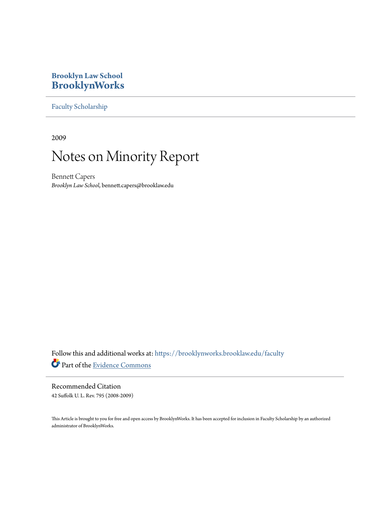# **Brooklyn Law School [BrooklynWorks](https://brooklynworks.brooklaw.edu?utm_source=brooklynworks.brooklaw.edu%2Ffaculty%2F121&utm_medium=PDF&utm_campaign=PDFCoverPages)**

[Faculty Scholarship](https://brooklynworks.brooklaw.edu/faculty?utm_source=brooklynworks.brooklaw.edu%2Ffaculty%2F121&utm_medium=PDF&utm_campaign=PDFCoverPages)

2009

# Notes on Minority Report

Bennett Capers *Brooklyn Law School*, bennett.capers@brooklaw.edu

Follow this and additional works at: [https://brooklynworks.brooklaw.edu/faculty](https://brooklynworks.brooklaw.edu/faculty?utm_source=brooklynworks.brooklaw.edu%2Ffaculty%2F121&utm_medium=PDF&utm_campaign=PDFCoverPages) Part of the [Evidence Commons](http://network.bepress.com/hgg/discipline/601?utm_source=brooklynworks.brooklaw.edu%2Ffaculty%2F121&utm_medium=PDF&utm_campaign=PDFCoverPages)

Recommended Citation 42 Suffolk U. L. Rev. 795 (2008-2009)

This Article is brought to you for free and open access by BrooklynWorks. It has been accepted for inclusion in Faculty Scholarship by an authorized administrator of BrooklynWorks.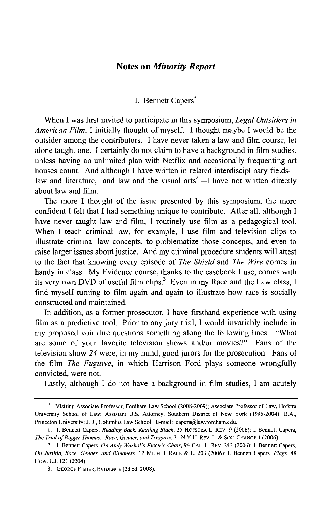## Notes **on** *Minority Report*

# I. Bennett Capers\*

When I was first invited to participate in this symposium, *Legal Outsiders in American Film,* I initially thought of myself. I thought maybe I would be the outsider among the contributors. I have never taken a law and film course, let alone taught one. I certainly do not claim to have a background in film studies, unless having an unlimited plan with Netflix and occasionally frequenting art houses count. And although I have written in related interdisciplinary fieldslaw and literature,<sup>1</sup> and law and the visual arts<sup>2</sup>—I have not written directly about law and film.

The more I thought of the issue presented by this symposium, the more confident I felt that I had something unique to contribute. After all, although I have never taught law and film, I routinely use film as a pedagogical tool. When I teach criminal law, for example, I use film and television clips to illustrate criminal law concepts, to problematize those concepts, and even to raise larger issues about justice. And my criminal procedure students will attest to the fact that knowing every episode of *The Shield* and *The Wire* comes in handy in class. My Evidence course, thanks to the casebook I use, comes with its very own DVD of useful film clips.<sup>3</sup> Even in my Race and the Law class, I find myself turning to film again and again to illustrate how race is socially constructed and maintained.

In addition, as a former prosecutor, I have firsthand experience with using film as a predictive tool. Prior to any jury trial, I would invariably include in my proposed voir dire questions something along the following lines: "What are some of your favorite television shows and/or movies?" Fans of the television show *24* were, in my mind, good jurors for the prosecution. Fans of the film *The Fugitive,* in which Harrison Ford plays someone wrongfully convicted, were not.

Lastly, although I do not have a background in film studies, I am acutely

**<sup>.</sup>** Visiting Associate Professor, Fordham Law School (2008-2009); Associate Professor of Law, Hofstra University School of Law; Assistant U.S. Attorney, Southern District of New York (1995-2004); B.A., Princeton University; **J.D.,** Columbia Law School. E-mail: capers@law.fordham.edu.

**<sup>1.</sup>** I. Bennett Capers, *Reading Back, Reading Black,* 35 HOFSTRA L. REV. 9 (2006); **1.** Bennett Capers, The Trial of Bigger Thomas: *Race, Gender, and Trespass,* 31 N.Y.U. REV. L. & SOC. CHANGE 1 (2006).

<sup>2.</sup> I. Bennett Capers, *On Andy* Warhol's Electric Chair, 94 **CAL.** L. REV. 243 (2006); I. Bennett Capers, *On Justitia, Race, Gender, and* Blindness, 12 MICH. **J.** RACE & L. 203 (2006); **1.** Bennett Capers, *Flags,* 48 How. **L.J.** 121 (2004).

<sup>3.</sup> **GEORGE** FISHER, **EVIDENCE** (2d ed. 2008).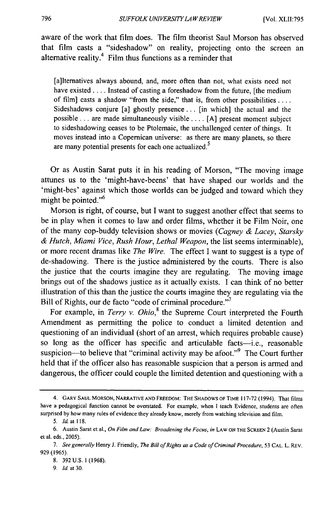aware of the work that film does. The film theorist Saul Morson has observed that film casts a "sideshadow" on reality, projecting onto the screen an alternative reality.4 Film thus functions as a reminder that

[a]lternatives always abound, and, more often than not, what exists need not have existed **....** Instead of casting a foreshadow from the future, [the medium of film] casts a shadow "from the side," that is, from other possibilities **....** Sideshadows conjure [a] ghostly presence **...** [in which] the actual and the possible ... are made simultaneously visible **....** [A] present moment subject to sideshadowing ceases to be Ptolemaic, the unchallenged center of things. It moves instead into a Copernican universe: as there are many planets, so there are many potential presents for each one actualized.<sup>5</sup>

Or as Austin Sarat puts it in his reading of Morson, "The moving image attunes us to the 'might-have-beens' that have shaped our worlds and the 'might-bes' against which those worlds can be judged and toward which they might be pointed."<sup>6</sup>

Morson is right, of course, but I want to suggest another effect that seems to be in play when it comes to law and order films, whether it be Film Noir, one of the many cop-buddy television shows or movies *(Cagney & Lacey, Starsky & Hutch, Miami Vice, Rush Hour, Lethal Weapon,* the list seems interminable), or more recent dramas like *The Wire.* The effect I want to suggest is a type of de-shadowing. There is the justice administered by the courts. There is also the justice that the courts imagine they are regulating. The moving image brings out of the shadows justice as it actually exists. I can think of no better illustration of this than the justice the courts imagine they are regulating via the Bill of Rights, our de facto "code of criminal procedure."<sup>7</sup>

For example, in *Terry v. Ohio*,<sup>8</sup> the Supreme Court interpreted the Fourth Amendment as permitting the police to conduct a limited detention and questioning of an individual (short of an arrest, which requires probable cause) so long as the officer has specific and articulable facts-i.e., reasonable suspicion—to believe that "criminal activity may be afoot."<sup>9</sup> The Court further held that if the officer also has reasonable suspicion that a person is armed and dangerous, the officer could couple the limited detention and questioning with a

9. **ld** at 30.

<sup>4.</sup> GARY SAUL MORSON, NARRATIVE AND FREEDOM: THE SHADOWS OF TIME 117-72 (1994). That films have a pedagogical function cannot be overstated. For example, when **I** teach Evidence, students are often surprised by how many rules of evidence they already know, merely from watching television and film.

<sup>5.</sup> Id. at **118.**

<sup>6.</sup> Austin Sarat et al., *On* Film and Law: Broadening the Focus, in LAW ON THE SCREEN 2 (Austin Sarat et al. eds., 2005).

<sup>7.</sup> See generally Henry J. Friendly, The Bill of Rights as a Code of Criminal Procedure, 53 CAL. L. REV. 929 (1965).

<sup>8. 392</sup> U.S. 1 (1968).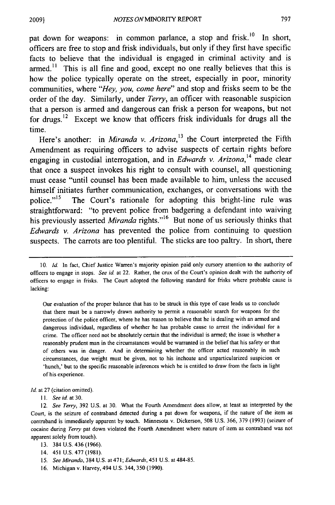pat down for weapons: in common parlance, a stop and frisk.<sup>10</sup> In short, officers are free to stop and frisk individuals, but only if they first have specific facts to believe that the individual is engaged in criminal activity and is armed.<sup>11</sup> This is all fine and good, except no one really believes that this is how the police typically operate on the street, especially in poor, minority communities, where *"Hey, you, come here"* and stop and frisks seem to be the order of the day. Similarly, under *Terry,* an officer with reasonable suspicion that a person is armed and dangerous can frisk a person for weapons, but not for drugs.12 Except we know that officers frisk individuals for drugs all the time.

Here's another: in *Miranda v. Arizona*,<sup>13</sup> the Court interpreted the Fifth Amendment as requiring officers to advise suspects of certain rights before engaging in custodial interrogation, and in *Edwards v. Arizona*<sup>14</sup> made clear that once a suspect invokes his right to consult with counsel, all questioning must cease "until counsel has been made available to him, unless the accused himself initiates further communication, exchanges, or conversations with the police."<sup>15</sup> The Court's rationale for adopting this bright-line rule was straightforward: "to prevent police from badgering a defendant into waiving his previously asserted *Miranda* rights."<sup>16</sup> But none of us seriously thinks that *Edwards v. Arizona* has prevented the police from continuing to question suspects. The carrots are too plentiful. The sticks are too paltry. In short, there

Our evaluation of the proper balance that has to be struck in this type of case leads us to conclude that there must be a narrowly drawn authority to permit a reasonable search for weapons for the protection of the police officer, where he has reason to believe that he is dealing with an armed and dangerous individual, regardless of whether he has probable cause to arrest the individual for a crime. The officer need not be absolutely certain that the individual is armed; the issue is whether a reasonably prudent man in the circumstances would be warranted in the belief that his safety or that of others was in danger. And in determining whether the officer acted reasonably in such circumstances, due weight must be given, not to his inchoate and unparticularized suspicion or 'hunch,' but to the specific reasonable inferences which he is entitled to draw from the facts in light of his experience.

Id. at 27 (citation omitted).

**11.** *See* id. at 30.

- 13. 384 U.S. 436 (1966).
- 14. 451 U.S. 477 (1981).
- *15. See Miranda,* 384 U.S. at 471; *Edwards,* 451 U.S. at 484-85.
- 16. Michigan v. Harvey, 494 U.S. 344, 350 (1990).

<sup>10.</sup> Id. In fact, Chief Justice Warren's majority opinion paid only cursory attention to the authority of officers to engage in stops. *See id* at 22. Rather, the crux of the Court's opinion dealt with the authority of officers to engage in frisks. The Court adopted the following standard for frisks where probable cause is lacking:

<sup>12.</sup> *See Terry,* 392 U.S. at 30. What the Fourth Amendment does allow, at least as interpreted by the Court, is the seizure of contraband detected during a pat down for weapons, if the nature of the item as contraband is immediately apparent by touch. Minnesota v. Dickerson, 508 U.S. 366, 379 (1993) (seizure of cocaine during *Terry* pat down violated the Fourth Amendment where nature of item as contraband was not apparent solely from touch).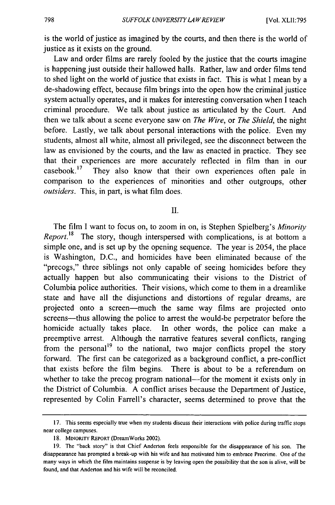is the world of justice as imagined by the courts, and then there is the world of justice as it exists on the ground.

Law and order films are rarely fooled by the justice that the courts imagine is happening just outside their hallowed halls. Rather, law and order films tend to shed light on the world of justice that exists in fact. This is what I mean by a de-shadowing effect, because film brings into the open how the criminal justice system actually operates, and it makes for interesting conversation when I teach criminal procedure. We talk about justice as articulated by the Court. And then we talk about a scene everyone saw on *The Wire,* or *The Shield,* the night before. Lastly, we talk about personal interactions with the police. Even my students, almost all white, almost all privileged, see the disconnect between the law as envisioned by the courts, and the law as enacted in practice. They see that their experiences are more accurately reflected in film than in our casebook.<sup>17</sup> They also know that their own experiences often pale in comparison to the experiences of minorities and other outgroups, other *outsiders.* This, in part, is what film does.

II.

The film I want to focus on, to zoom in on, is Stephen Spielberg's *Minority Report.*<sup>18</sup> The story, though interspersed with complications, is at bottom a simple one, and is set up by the opening sequence. The year is 2054, the place is Washington, D.C., and homicides have been eliminated because of the "precogs," three siblings not only capable of seeing homicides before they actually happen but also communicating their visions to the District of Columbia police authorities. Their visions, which come to them in a dreamlike state and have all the disjunctions and distortions of regular dreams, are projected onto a screen-much the same way films are projected onto screens-thus allowing the police to arrest the would-be perpetrator before the homicide actually takes place. In other words, the police can make a preemptive arrest. Although the narrative features several conflicts, ranging from the personal<sup>19</sup> to the national, two major conflicts propel the story forward. The first can be categorized as a background conflict, a pre-conflict that exists before the film begins. There is about to be a referendum on whether to take the precog program national—for the moment it exists only in the District of Columbia. A conflict arises because the Department of Justice, represented by Colin Farrell's character, seems determined to prove that the

<sup>17.</sup> This seems especially true when my students discuss their interactions with police during traffic stops near college campuses.

<sup>18.</sup> MINORITY REPORT (DreamWorks 2002).

<sup>19.</sup> The "back story" is that Chief Anderton feels responsible for the disappearance of his son. The disappearance has prompted a break-up with his wife and has motivated him to embrace Precrime. One of the many ways in which the film maintains suspense is by leaving open the possibility that the son is alive, will be found, and that Anderton and his wife will be reconciled.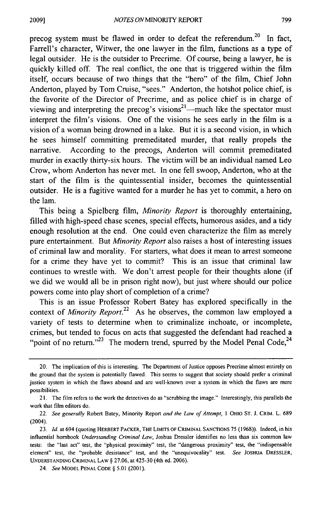precog system must be flawed in order to defeat the referendum.<sup>20</sup> In fact, Farrell's character, Witwer, the one lawyer in the film, functions as a type of legal outsider. He is the outsider to Precrime. Of course, being a lawyer, he is quickly killed off. The real conflict, the one that is triggered within the film itself, occurs because of two things that the "hero" of the film, Chief John Anderton, played by Tom Cruise, "sees." Anderton, the hotshot police chief, is the favorite of the Director of Precrime, and as police chief is in charge of viewing and interpreting the precog's visions<sup>21</sup>—much like the spectator must interpret the film's visions. One of the visions he sees early in the film is a vision of a woman being drowned in a lake. But it is a second vision, in which he sees himself committing premeditated murder, that really propels the narrative. According to the precogs, Anderton will commit premeditated murder in exactly thirty-six hours. The victim will be an individual named Leo Crow, whom Anderton has never met. In one fell swoop, Anderton, who at the start of the film is the quintessential insider, becomes the quintessential outsider. He is a fugitive wanted for a murder he has yet to commit, a hero on the lam.

This being a Spielberg film, *Minority Report* is thoroughly entertaining, filled with high-speed chase scenes, special effects, humorous asides, and a tidy enough resolution at the end. One could even characterize the film as merely pure entertainment. But *Minority Report* also raises a host of interesting issues of criminal law and morality. For starters, what does it mean to arrest someone for a crime they have yet to commit? This is an issue that criminal law continues to wrestle with. We don't arrest people for their thoughts alone (if we did we would all be in prison right now), but just where should our police powers come into play short of completion of a crime?

This is an issue Professor Robert Batey has explored specifically in the context of *Minority Report.22* As he observes, the common law employed a variety of tests to determine when to criminalize inchoate, or incomplete, crimes, but tended to focus on acts that suggested the defendant had reached a "point of no return."<sup>23</sup> The modern trend, spurred by the Model Penal Code,<sup>24</sup>

<sup>20.</sup> The implication of this is interesting. The Department of Justice opposes Precrime almost entirely on the ground that the system is potentially flawed. This seems to suggest that society should prefer a criminal justice system in which the flaws abound and are well-known over a system in which the flaws are mere possibilities.

<sup>21.</sup> The film refers to the work the detectives do as "scrubbing the image." Interestingly, this parallels the work that film editors do.

<sup>22.</sup> *See* generally Robert Batey, Minority Report *and the Law of Attempt,* 1 OHIO **ST.** J. CRIM. L. 689 (2004).

<sup>23.</sup> *Id.* at 694 (quoting HERBERT PACKER, THE LIMITS OF CRIMINAL SANCTIONS 75 (1968)). Indeed, in his influential hombook *Understanding Criminal Law,* Joshua Dressier identifies no less than six common law tests: the "last act" test, the "physical proximity" test, the "dangerous proximity" test, the "indispensable element" test, the "probable desistance" test, and the "unequivocality" test. *See* **JOSHUA** DRESSLER, **UNDERSTANDING** CRIMINAL LAW § 27.06, at 425-30 (4th ed. 2006).

<sup>24.</sup> *See* MODEL **PENAL CODE** § 5.01 (2001).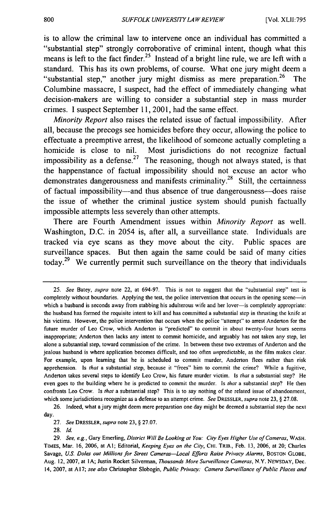is to allow the criminal law to intervene once an individual has committed a "substantial step" strongly corroborative of criminal intent, though what this means is left to the fact finder.<sup>25</sup> Instead of a bright line rule, we are left with a standard. This has its own problems, of course. What one jury might deem a "substantial step," another jury might dismiss as mere preparation.<sup>26</sup> The Columbine massacre, **I** suspect, had the effect of immediately changing what decision-makers are willing to consider a substantial step in mass murder crimes. **I** suspect September **11, 2001,** had the same effect.

*Minority Report* also raises the related issue of factual impossibility. After all, because the precogs see homicides before they occur, allowing the police to effectuate a preemptive arrest, the likelihood of someone actually completing a homicide is close to nil. Most jurisdictions do not recognize factual impossibility as a defense.<sup>27</sup> The reasoning, though not always stated, is that the happenstance of factual impossibility should not excuse an actor who demonstrates dangerousness and manifests criminality.<sup>28</sup> Still, the certainness of factual impossibility-and thus absence of true dangerousness-does raise the issue of whether the criminal justice system should punish factually impossible attempts less severely than other attempts.

There are Fourth Amendment issues within *Minority Report* as well. Washington, **D.C.** in 2054 is, after all, a surveillance state. Individuals are tracked via eye scans as they move about the city. Public spaces are surveillance spaces. But then again the same could be said of many cities **<sup>29</sup>** today. We currently permit such surveillance on the theory that individuals

27. *See* **DPESSLER,** *supra* note 23, § 27.07.

<sup>25.</sup> *See* Batey, *supra* note 22, at 694-97. This is not to suggest that the "substantial step" test is completely without boundaries. Applying the test, the police intervention that occurs in the opening scene-in which a husband is seconds away from stabbing his adulterous wife and her lover-is completely appropriate: the husband has formed the requisite intent to kill and has committed a substantial step in thrusting the knife at his victims. However, the police intervention that occurs when the police "attempt" to arrest Anderton for the future murder of Leo Crow, which Anderton is "predicted" to commit in about twenty-four hours seems inappropriate; Anderton then lacks any intent to commit homicide, and arguably has not taken any step, let alone a substantial step, toward commission of the crime. In between these two extremes of Anderton and the jealous husband is where application becomes difficult, and too often unpredictable, as the film makes clear. For example, upon learning that he is scheduled to commit murder, Anderton flees rather than risk apprehension. Is *that* a substantial step, because it "frees" him to commit the crime? While a fugitive, Anderton takes several steps to identify Leo Crow, his future murder victim. Is *that* a substantial step? He even goes to the building where he is predicted to commit the murder. Is *that* a substantial step? He then confronts Leo Crow. Is *that* a substantial step? This is to say nothing of the related issue of abandonment, which some jurisdictions recognize as a defense to an attempt crime. *See* DRESSLER, *supra* note **23,** § 27.08.

<sup>26.</sup> Indeed, what a jury might deem mere preparation one day might be deemed a substantial step the next day.

**<sup>28.</sup> Id.**

<sup>29.</sup> *See, e.g.,* Gary Emerling, *District Will Be Looking at You: City Eyes Higher Use of Cameras,* WASH. TIMES, Mar. 16, 2006, at A1; Editorial, *Keeping Eyes on the City*, CHI. TRIB., Feb. 13, 2006, at 20; Charles Savage, *US. Doles out Millions for Street Cameras-Local Efforts Raise Privacy Alarms,* **BOSTON GLOBE,** Aug. 12, 2007, at IA; Justin Rocket Silverman, *Thousands More Surveillance Cameras,* N.Y. **NEWSDAY,** Dec. 14, 2007, at Al7; *see also* Christopher Slobogin, *Public Privacy. Camera Surveillance of Public Places and*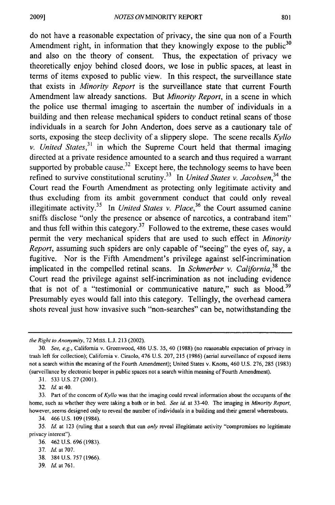do not have a reasonable expectation of privacy, the sine qua non of a Fourth Amendment right, in information that they knowingly expose to the public<sup>30</sup> and also on the theory of consent. Thus, the expectation of privacy we theoretically enjoy behind closed doors, we lose in public spaces, at least in terms of items exposed to public view. In this respect, the surveillance state that exists in *Minority Report* is the surveillance state that current Fourth Amendment law already sanctions. But *Minority Report,* in a scene in which the police use thermal imaging to ascertain the number of individuals in a building and then release mechanical spiders to conduct retinal scans of those individuals in a search for John Anderton, does serve as a cautionary tale of sorts, exposing the steep declivity of a slippery slope. The scene recalls *Kyllo v. United States*,<sup>31</sup> in which the Supreme Court held that thermal imaging directed at a private residence amounted to a search and thus required a warrant supported by probable cause.<sup>32</sup> Except here, the technology seems to have been refined to survive constitutional scrutiny.33 In *United States v. Jacobsen,34* the Court read the Fourth Amendment as protecting only legitimate activity and thus excluding from its ambit government conduct that could only reveal illegitimate activity.<sup>35</sup> In *United States v. Place*,<sup>36</sup> the Court assumed canine sniffs disclose "only the presence or absence of narcotics, a contraband item" and thus fell within this category.<sup> $37$ </sup> Followed to the extreme, these cases would permit the very mechanical spiders that are used to such effect in *Minority Report,* assuming such spiders are only capable of "seeing" the eyes of, say, a fugitive. Nor is the Fifth Amendment's privilege against self-incrimination implicated in the compelled retinal scans. In *Schmerber v. California,38* the Court read the privilege against self-incrimination as not including evidence that is not of a "testimonial or communicative nature," such as blood. $39$ Presumably eyes would fall into this category. Tellingly, the overhead camera shots reveal just how invasive such "non-searches" can be, notwithstanding the

31. 533 U.S. 27 (2001).

32. Id. at 40.

34. 466 U.S. 109 (1984).

- 38. 384 U.S. 757 (1966).
- 39. *Id.* at 761.

*the Right to Anonymity,* 72 Miss. L.J. 213 (2002).

<sup>30.</sup> *See, e.g.,* California v. Greenwood, 486 U.S. 35, 40 (1988) (no reasonable expectation of privacy in trash left for collection); California v. Ciraolo, 476 U.S. 207, 215 (1986) (aerial surveillance of exposed items not a search within the meaning of the Fourth Amendment); United States v. Knotts, 460 U.S. 276, 285 (1983) (surveillance by electronic beeper in public spaces not a search within meaning of Fourth Amendment).

<sup>33.</sup> Part of the concern of *Kyllo* was that the imaging could reveal information about the occupants of the home, such as whether they were taking a bath or in bed. *See id* at 33-40. The imaging in *Minority Report,* however, seems designed only to reveal the number of individuals in a building and their general whereabouts.

<sup>35.</sup> Id. at 123 (ruling that a search that can *only* reveal illegitimate activity "compromises no legitimate privacy interest").

<sup>36. 462</sup> U.S. 696 (1983).

<sup>37.</sup> Id. at 707.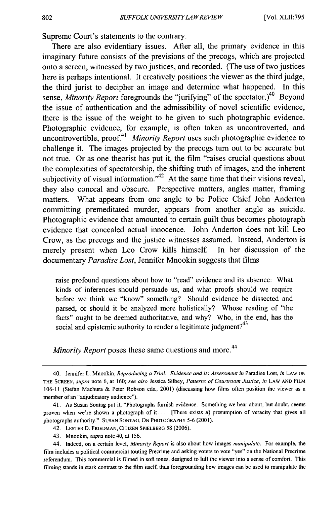Supreme Court's statements to the contrary.

There are also evidentiary issues. After all, the primary evidence in this imaginary future consists of the previsions of the precogs, which are projected onto a screen, witnessed by two justices, and recorded. (The use of two justices here is perhaps intentional. It creatively positions the viewer as the third judge, the third jurist to decipher an image and determine what happened. In this sense, *Minority Report* foregrounds the "jurifying" of the spectator.)<sup>40</sup> Beyond the issue of authentication and the admissibility of novel scientific evidence, there is the issue of the weight to be given to such photographic evidence. Photographic evidence, for example, is often taken as uncontroverted, and uncontrovertible, proof.<sup>41</sup> *Minority Report* uses such photographic evidence to challenge it. The images projected by the precogs turn out to be accurate but not true. Or as one theorist has put it, the film "raises crucial questions about the complexities of spectatorship, the shifting truth of images, and the inherent subjectivity of visual information.<sup> $A<sup>2</sup>$ </sup> At the same time that their visions reveal, they also conceal and obscure. Perspective matters, angles matter, framing matters. What appears from one angle to be Police Chief John Anderton committing premeditated murder, appears from another angle as suicide. Photographic evidence that amounted to certain guilt thus becomes photograph evidence that concealed actual innocence. John Anderton does not kill Leo Crow, as the precogs and the justice witnesses assumed. Instead, Anderton is merely present when Leo Crow kills himself. In her discussion of the documentary *Paradise Lost,* Jennifer Mnookin suggests that films

raise profound questions about how to "read" evidence and its absence: What kinds of inferences should persuade us, and what proofs should we require before we think we "know" something? Should evidence be dissected and parsed, or should it be analyzed more holistically? Whose reading of "the facts" ought to be deemed authoritative, and why? Who, in the end, has the social and epistemic authority to render a legitimate judgment? $43$ 

*Minority Report* poses these same questions and more. 44

43. Mnookin, *supra* note 40, at 156.

<sup>40.</sup> Jennifer L. Mnookin, *Reproducing a Trial: Evidence and Its Assessment in* Paradise Lost, *in* LAW ON THE ScREEN, *supra* note 6, at 160; *see also* Jessica Silbey, *Patterns of Courtroom Justice, in* LAW **AND** FILM 106-11 (Stefan Machura & Peter Robson eds., 2001) (discussing how films often position the viewer as a member of an "adjudicatory audience").

<sup>41.</sup> As Susan Sontag put it, "Photographs furnish evidence. Something we hear about, but doubt, seems proven when we're shown a photograph of it .... [There exists a] presumption of veracity that gives all photographs authority." SUSAN SONTAG, ON PHOTOGRAPHY 5-6 (2001).

<sup>42.</sup> LESTER D. FRIEDMAN, CITIZEN SPIELBERG 58 (2006).

<sup>44.</sup> Indeed, on a certain level, *Minority Report* is also about how images *manipulate.* For example, the film includes a political commercial touting Precrime and asking voters to vote "yes" on the National Precrime referendum. This commercial is filmed in soft tones, designed to lull the viewer into a sense of comfort. This filming stands in stark contrast to the film itself, thus foregrounding how images can be used to manipulate the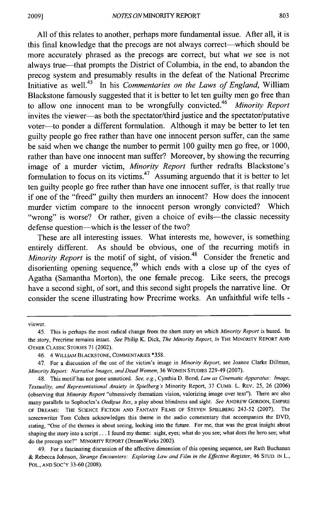All of this relates to another, perhaps more fundamental issue. After all, it is this final knowledge that the precogs are not always correct—which should be more accurately phrased as the precogs are correct, but what *we* see is not always true-that prompts the District of Columbia, in the end, to abandon the precog system and presumably results in the defeat of the National Precrime Initiative as well.<sup>45</sup> In his *Commentaries on the Laws of England*, William Blackstone famously suggested that it is better to let ten guilty men go free than 46 to allow one innocent man to be wrongfully convicted. *Minority Report* invites the viewer-as both the spectator/third justice and the spectator/putative voter-to ponder a different formulation. Although it may be better to let ten guilty people go free rather than have one innocent person suffer, can the same be said when we change the number to permit 100 guilty men go free, or 1000, rather than have one innocent man suffer? Moreover, by showing the recurring image of a murder victim, *Minority Report* further redrafts Blackstone's formulation to focus on its victims.<sup>47</sup> Assuming arguendo that it is better to let ten guilty people go free rather than have one innocent suffer, is that really true if one of the "freed" guilty then murders an innocent? How does the innocent murder victim compare to the innocent person wrongly convicted? Which "wrong" is worse? Or rather, given a choice of evils—the classic necessity defense question—which is the lesser of the two?

These are all interesting issues. What interests me, however, is something entirely different. As should be obvious, one of the recurring motifs in *Minority Report* is the motif of sight, of vision.<sup>48</sup> Consider the frenetic and disorienting opening sequence,  $49$  which ends with a close up of the eyes of Agatha (Samantha Morton), the one female precog. Like seers, the precogs have a second sight, of sort, and this second sight propels the narrative line. Or consider the scene illustrating how Precrime works. An unfaithful wife tells -

viewer.

46. 4 WILLIAM BLACKSTONE, COMMENTARIES **\*358.**

49. For a fascinating discussion of the affective dimension of this opening sequence, see Ruth Buchanan & Rebecca Johnson, *Strange Encounters. Exploring Law and Film in the Effective Register,* 46 STUD. IN L., POL., AND SOC'Y 33-60 (2008).

<sup>45.</sup> This is perhaps the most radical change from the short story on which *Minority Report* is based. In the story, Precrime remains intact. *See* Philip K. Dick, *The Minority Report, in* THE MINORITY REPORT AND OTHER CLASSIC STORIES 71 (2002).

<sup>47.</sup> For a discussion of the use of the victim's image in *Minority Report,* see Joanne Clarke Dillman, *Minority Report: Narrative Images, and Dead Women,* 36 WOMEN STUDIES 229-49 (2007).

<sup>48.</sup> This motif has not gone unnoticed. *See, e.g.,* Cynthia D. Bond, *Law as Cinematic Apparatus: Image, Textuality, and Representational Anxiety in Spielberg's* Minority Report, 37 CUMB. L. REV. 25, 26 (2006) (observing that *Minority Report* "obsessively thematizes vision, valorizing image over text"). There are also many parallels to Sophocles's *Oedipus Rex,* a play about blindness and sight. *See* ANDREW GORDON, EMPIRE OF DREAMS: THE SCIENCE FICTION AND FANTASY FILMS OF STEVEN SPIELBERG 243-52 (2007). The screenwriter Tom Cohen acknowledges this theme in the audio commentary that accompanies the DVD, stating, "One of the themes is about seeing, looking into the future. For me, that was the great insight about shaping the story into a script... I found my theme: sight, eyes; what do you see; what does the hero see; what do the precogs see?" MINORITY REPORT (DreamWorks 2002).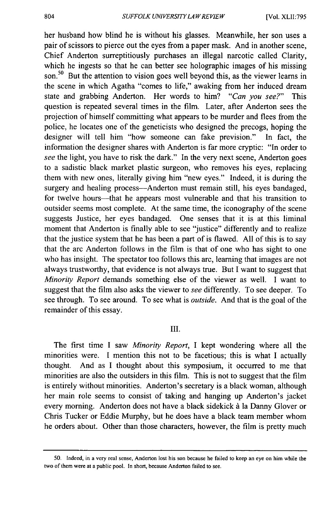her husband how blind he is without his glasses. Meanwhile, her son uses a pair of scissors to pierce out the eyes from a paper mask. And in another scene, Chief Anderton surreptitiously purchases an illegal narcotic called Clarity, which he ingests so that he can better see holographic images of his missing son.<sup>50</sup> But the attention to vision goes well beyond this, as the viewer learns in the scene in which Agatha "comes to life," awaking from her induced dream state and grabbing Anderton. Her words to him? *"Can you see?"* This question is repeated several times in the film. Later, after Anderton sees the projection of himself committing what appears to be murder and flees from the police, he locates one of the geneticists who designed the precogs, hoping the designer will tell him "how someone can fake prevision." In fact, the information the designer shares with Anderton is far more cryptic: "In order to *see* the light, you have to risk the dark." In the very next scene, Anderton goes to a sadistic black market plastic surgeon, who removes his eyes, replacing them with new ones, literally giving him "new eyes." Indeed, it is during the surgery and healing process---Anderton must remain still, his eyes bandaged, for twelve hours—that he appears most vulnerable and that his transition to outsider seems most complete. At the same time, the iconography of the scene suggests Justice, her eyes bandaged. One senses that it is at this liminal moment that Anderton is finally able to see "justice" differently and to realize that the justice system that he has been a part of is flawed. All of this is to say that the arc Anderton follows in the film is that of one who has sight to one who has insight. The spectator too follows this arc, learning that images are not always trustworthy, that evidence is not always true. But I want to suggest that *Minority Report* demands something else of the viewer as well. I want to suggest that the film also asks the viewer to *see* differently. To see deeper. To see through. To see around. To see what is *outside.* And that is the goal of the remainder of this essay.

#### III.

The first time I saw *Minority Report,* I kept wondering where all the minorities were. I mention this not to be facetious; this is what I actually thought. And as I thought about this symposium, it occurred to me that minorities are also the outsiders in this film. This is not to suggest that the film is entirely without minorities. Anderton's secretary is a black woman, although her main role seems to consist of taking and hanging up Anderton's jacket every morning. Anderton does not have a black sidekick **A** la Danny Glover or Chris Tucker or Eddie Murphy, but he does have a black team member whom he orders about. Other than those characters, however, the film is pretty much

<sup>50.</sup> Indeed, in a very real sense, Anderton lost his son because he failed to keep an eye on him while the two of them were at a public pool. In short, because Anderton failed to see.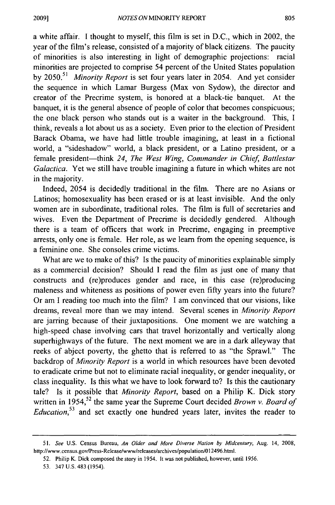a white affair. I thought to myself, this film is set in D.C., which in 2002, the year of the film's release, consisted of a majority of black citizens. The paucity of minorities is also interesting in light of demographic projections: racial minorities are projected to comprise 54 percent of the United States population by 2050.51 *Minority Report* is set four years later in 2054. And yet consider the sequence in which Lamar Burgess (Max von Sydow), the director and creator of the Precrime system, is honored at a black-tie banquet. At the banquet, it is the general absence of people of color that becomes conspicuous; the one black person who stands out is a waiter in the background. This, I think, reveals a lot about us as a society. Even prior to the election of President Barack Obama, we have had little trouble imagining, at least in a fictional world, a "sideshadow" world, a black president, or a Latino president, or a female president-think 24, The West Wing, Commander in Chief, Battlestar *Galactica.* Yet we still have trouble imagining a future in which whites are not in the majority.

Indeed, 2054 is decidedly traditional in the film. There are no Asians or Latinos; homosexuality has been erased or is at least invisible. And the only women are in subordinate, traditional roles. The film is full of secretaries and wives. Even the Department of Precrime is decidedly gendered. Although there is a team of officers that work in Precrime, engaging in preemptive arrests, only one is female. Her role, as we learn from the opening sequence, is a feminine one. She consoles crime victims.

What are we to make of this? Is the paucity of minorities explainable simply as a commercial decision? Should I read the film as just one of many that constructs and (re)produces gender and race, in this case (re)producing maleness and whiteness as positions of power even fifty years into the future? Or am I reading too much into the film? I am convinced that our visions, like dreams, reveal more than we may intend. Several scenes in *Minority Report* are jarring because of their juxtapositions. One moment we are watching a high-speed chase involving cars that travel horizontally and vertically along superhighways of the future. The next moment we are in a dark alleyway that reeks of abject poverty, the ghetto that is referred to as "the Sprawl." The backdrop of *Minority Report* is a world in which resources have been devoted to eradicate crime but not to eliminate racial inequality, or gender inequality, or class inequality. Is this what we have to look forward to? Is this the cautionary tale? Is it possible that *Minority Report,* based on a Philip K. Dick story written in 1954,<sup>52</sup> the same year the Supreme Court decided *Brown v. Board of Education,53* and set exactly one hundred years later, invites the reader to

<sup>51.</sup> *See* U.S. Census Bureau, *An Older and More Diverse* Nation *by Midcentury,* Aug. 14, 2008, http://www.census.gov/Press-Release/www/releases/archives/population/O 1 2496.html.

<sup>52.</sup> Philip K. Dick composed the story in 1954. It was not published, however, until 1956.

**<sup>53.</sup>** 347 **U.S.** 483 (1954).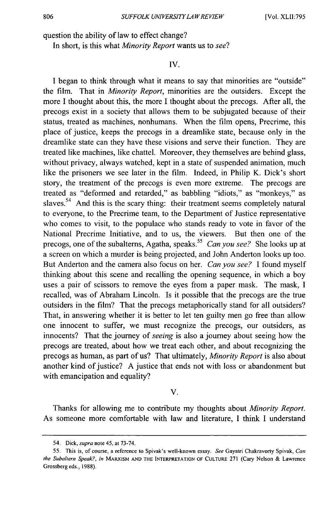question the ability of law to effect change?

In short, is this what *Minority Report* wants us to *see?*

### **IV.**

I began to think through what it means to say that minorities are "outside" the film. That in *Minority Report,* minorities are the outsiders. Except the more I thought about this, the more I thought about the precogs. After all, the precogs exist in a society that allows them to be subjugated because of their status, treated as machines, nonhumans. When the film opens, Precrime, this place of justice, keeps the precogs in a dreamlike state, because only in the dreamlike state can they have these visions and serve their function. They are treated like machines, like chattel. Moreover, they themselves are behind glass, without privacy, always watched, kept in a state of suspended animation, much like the prisoners we see later in the film. Indeed, in Philip K. Dick's short story, the treatment of the precogs is even more extreme. The precogs are treated as "deformed and retarded," as babbling "idiots," as "monkeys," as slaves.<sup>54</sup> And this is the scary thing: their treatment seems completely natural to everyone, to the Precrime team, to the Department of Justice representative who comes to visit, to the populace who stands ready to vote in favor of the National Precrime Initiative, and to us, the viewers. But then one of the precogs, one of the subalterns, Agatha, speaks.<sup>55</sup> Can you see? She looks up at a screen on which a murder is being projected, and John Anderton looks up too. But Anderton and the camera also focus on her. *Can you see?* I found myself thinking about this scene and recalling the opening sequence, in which a boy uses a pair of scissors to remove the eyes from a paper mask. The mask, I recalled, was of Abraham Lincoln. Is it possible that the precogs are the true outsiders in the film? That the precogs metaphorically stand for all outsiders? That, in answering whether it is better to let ten guilty men go free than allow one innocent to suffer, we must recognize the precogs, our outsiders, as innocents? That the journey of *seeing* is also a journey about seeing how the precogs are treated, about how we treat each other, and about recognizing the precogs as human, as part of us? That ultimately, *Minority Report* is also about another kind of justice? A justice that ends not with loss or abandonment but with emancipation and equality?

V.

Thanks for allowing me to contribute my thoughts about *Minority Report.* As someone more comfortable with law and literature, I think I understand

<sup>54.</sup> Dick, supra note 45, at 73-74.

<sup>55.</sup> This is, of course, a reference to Spivak's well-known essay. *See* Gayatri Chakravorty Spivak, *Can the Subaltern Speak?, in* MARXISM **AND** THE **INTERPRETATION** OF **CULTURE** 271 (Cary Nelson & Lawrence Grossberg eds., 1988).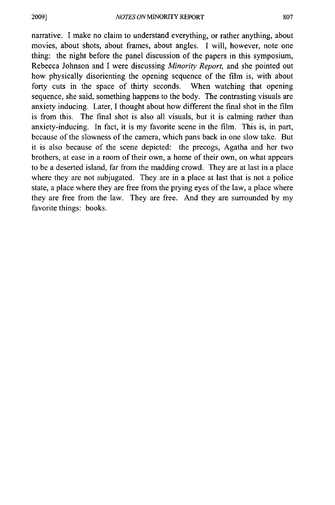narrative. I make no claim to understand everything, or rather anything, about movies, about shots, about frames, about angles. I will, however, note one thing: the night before the panel discussion of the papers in this symposium, Rebecca Johnson and I were discussing *Minority Report,* and she pointed out how physically disorienting the opening sequence of the film is, with about forty cuts in the space of thirty seconds. When watching that opening sequence, she said, something happens to the body. The contrasting visuals are anxiety inducing. Later, I thought about how different the final shot in the film is from this. The final shot is also all visuals, but it is calming rather than anxiety-inducing. In fact, it is my favorite scene in the film. This is, in part, because of the slowness of the camera, which pans back in one slow take. But it is also because of the scene depicted: the precogs, Agatha and her two brothers, at ease in a room of their own, a home of their own, on what appears to be a deserted island, far from the madding crowd. They are at last in a place where they are not subjugated. They are in a place at last that is not a police state, a place where they are free from the prying eyes of the law, a place where they are free from the law. They are free. And they are surrounded by my favorite things: books.